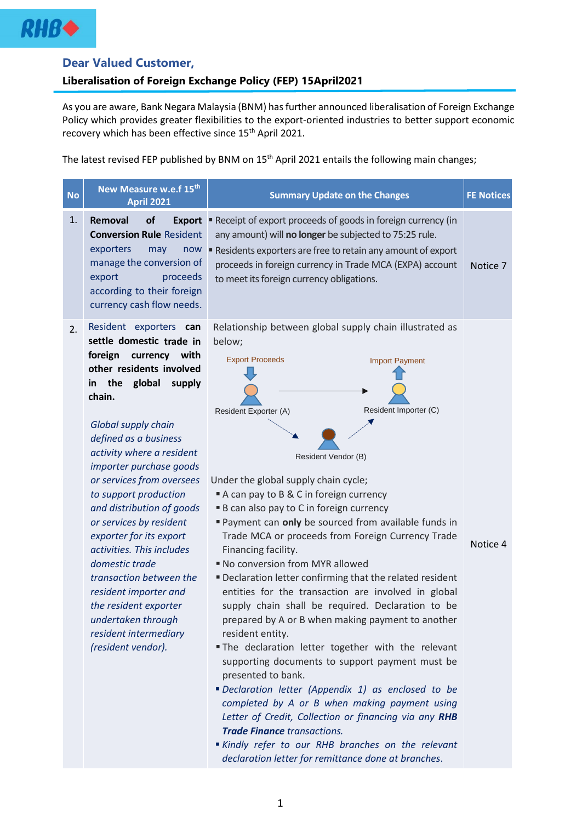

## **Dear Valued Customer,**

## **Liberalisation of Foreign Exchange Policy (FEP) 15April2021**

As you are aware, Bank Negara Malaysia (BNM) has further announced liberalisation of Foreign Exchange Policy which provides greater flexibilities to the export-oriented industries to better support economic recovery which has been effective since 15<sup>th</sup> April 2021.

The latest revised FEP published by BNM on 15<sup>th</sup> April 2021 entails the following main changes;

| <b>No</b> | New Measure w.e.f 15th<br><b>April 2021</b>                                                                                                                                                                                                                                                                                                                                                                                                                                                                                                                                                       | <b>Summary Update on the Changes</b>                                                                                                                                                                                                                                                                                                                                                                                                                                                                                                                                                                                                                                                                                                                                                                                                                                                                                                                                                                                                                                                             | <b>FE Notices</b> |
|-----------|---------------------------------------------------------------------------------------------------------------------------------------------------------------------------------------------------------------------------------------------------------------------------------------------------------------------------------------------------------------------------------------------------------------------------------------------------------------------------------------------------------------------------------------------------------------------------------------------------|--------------------------------------------------------------------------------------------------------------------------------------------------------------------------------------------------------------------------------------------------------------------------------------------------------------------------------------------------------------------------------------------------------------------------------------------------------------------------------------------------------------------------------------------------------------------------------------------------------------------------------------------------------------------------------------------------------------------------------------------------------------------------------------------------------------------------------------------------------------------------------------------------------------------------------------------------------------------------------------------------------------------------------------------------------------------------------------------------|-------------------|
| 1.        | of<br>Removal<br><b>Export</b><br><b>Conversion Rule Resident</b><br>exporters<br>may<br>now<br>manage the conversion of<br>proceeds<br>export<br>according to their foreign<br>currency cash flow needs.                                                                                                                                                                                                                                                                                                                                                                                         | Receipt of export proceeds of goods in foreign currency (in<br>any amount) will no longer be subjected to 75:25 rule.<br>" Residents exporters are free to retain any amount of export<br>proceeds in foreign currency in Trade MCA (EXPA) account<br>to meet its foreign currency obligations.                                                                                                                                                                                                                                                                                                                                                                                                                                                                                                                                                                                                                                                                                                                                                                                                  | Notice 7          |
| 2.        | Resident exporters can<br>settle domestic trade in<br>foreign<br>currency with<br>other residents involved<br>in the global<br>supply<br>chain.<br>Global supply chain<br>defined as a business<br>activity where a resident<br>importer purchase goods<br>or services from oversees<br>to support production<br>and distribution of goods<br>or services by resident<br>exporter for its export<br>activities. This includes<br>domestic trade<br>transaction between the<br>resident importer and<br>the resident exporter<br>undertaken through<br>resident intermediary<br>(resident vendor). | Relationship between global supply chain illustrated as<br>below;<br><b>Export Proceeds</b><br><b>Import Payment</b><br>Resident Importer (C)<br>Resident Exporter (A)<br>Resident Vendor (B)<br>Under the global supply chain cycle;<br>A can pay to B & C in foreign currency<br><b>B</b> can also pay to C in foreign currency<br>Payment can only be sourced from available funds in<br>Trade MCA or proceeds from Foreign Currency Trade<br>Financing facility.<br>" No conversion from MYR allowed<br>" Declaration letter confirming that the related resident<br>entities for the transaction are involved in global<br>supply chain shall be required. Declaration to be<br>prepared by A or B when making payment to another<br>resident entity.<br>. The declaration letter together with the relevant<br>supporting documents to support payment must be<br>presented to bank.<br>"Declaration letter (Appendix 1) as enclosed to be<br>completed by A or B when making payment using<br>Letter of Credit, Collection or financing via any RHB<br><b>Trade Finance transactions.</b> | Notice 4          |

▪ *Kindly refer to our RHB branches on the relevant declaration letter for remittance done at branches*.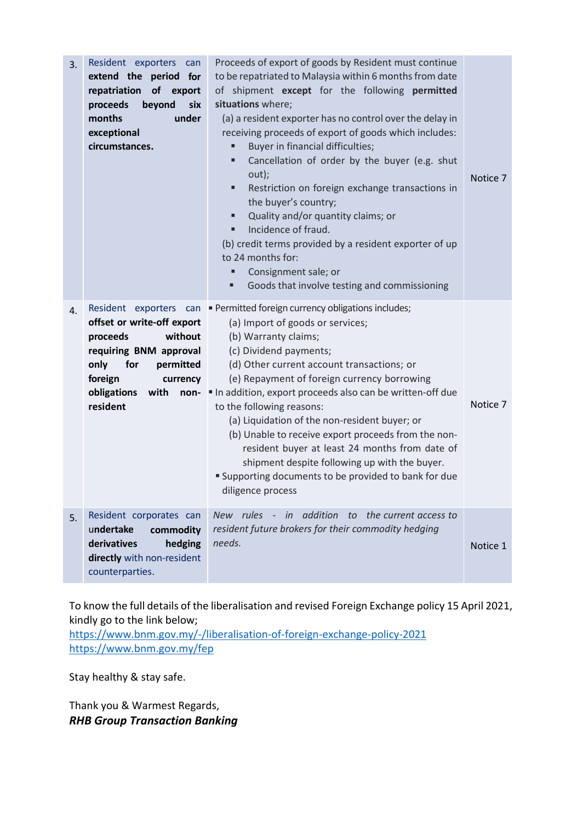| 3. | Resident exporters<br>can<br>extend the period<br>for<br>of<br>repatriation<br>export<br>proceeds<br>beyond<br>six<br>months<br>under<br>exceptional<br>circumstances.                              | Proceeds of export of goods by Resident must continue<br>to be repatriated to Malaysia within 6 months from date<br>of shipment except for the following permitted<br>situations where;<br>(a) a resident exporter has no control over the delay in<br>receiving proceeds of export of goods which includes:<br>Buyer in financial difficulties;<br>٠<br>Cancellation of order by the buyer (e.g. shut<br>п<br>out);<br>Restriction on foreign exchange transactions in<br>٠<br>the buyer's country;<br>Quality and/or quantity claims; or<br>٠<br>Incidence of fraud.<br>٠<br>(b) credit terms provided by a resident exporter of up<br>to 24 months for:<br>Consignment sale; or<br>п<br>Goods that involve testing and commissioning<br>٠ | Notice 7 |
|----|-----------------------------------------------------------------------------------------------------------------------------------------------------------------------------------------------------|----------------------------------------------------------------------------------------------------------------------------------------------------------------------------------------------------------------------------------------------------------------------------------------------------------------------------------------------------------------------------------------------------------------------------------------------------------------------------------------------------------------------------------------------------------------------------------------------------------------------------------------------------------------------------------------------------------------------------------------------|----------|
| 4. | Resident exporters can<br>offset or write-off export<br>without<br>proceeds<br>requiring BNM approval<br>only<br>for<br>permitted<br>foreign<br>currency<br>obligations<br>with<br>non-<br>resident | · Permitted foreign currency obligations includes;<br>(a) Import of goods or services;<br>(b) Warranty claims;<br>(c) Dividend payments;<br>(d) Other current account transactions; or<br>(e) Repayment of foreign currency borrowing<br>In addition, export proceeds also can be written-off due<br>to the following reasons:<br>(a) Liquidation of the non-resident buyer; or<br>(b) Unable to receive export proceeds from the non-<br>resident buyer at least 24 months from date of<br>shipment despite following up with the buyer.<br>" Supporting documents to be provided to bank for due<br>diligence process                                                                                                                      | Notice 7 |
| 5. | Resident corporates can<br>undertake<br>commodity<br>derivatives<br>hedging<br>directly with non-resident<br>counterparties.                                                                        | New rules - in addition to the current access to<br>resident future brokers for their commodity hedging<br>needs.                                                                                                                                                                                                                                                                                                                                                                                                                                                                                                                                                                                                                            | Notice 1 |

To know the full details of the liberalisation and revised Foreign Exchange policy 15 April 2021, kindly go to the link below;

<https://www.bnm.gov.my/-/liberalisation-of-foreign-exchange-policy-2021> <https://www.bnm.gov.my/fep>

Stay healthy & stay safe.

Thank you & Warmest Regards, *RHB Group Transaction Banking*